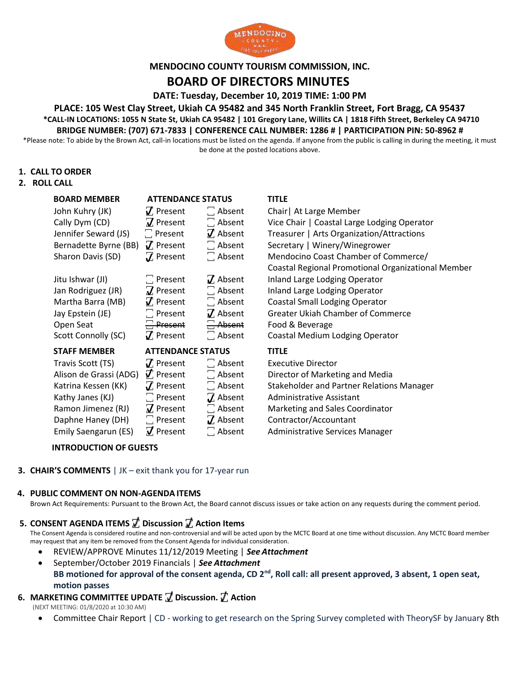

## **MENDOCINO COUNTY TOURISM COMMISSION, INC.**

# **BOARD OF DIRECTORS MINUTES**

**DATE: Tuesday, December 10, 2019 TIME: 1:00 PM**

**PLACE: 105 West Clay Street, Ukiah CA 95482 and 345 North Franklin Street, Fort Bragg, CA 95437 \*CALL-IN LOCATIONS: 1055 N State St, Ukiah CA 95482 | 101 Gregory Lane, Willits CA | 1818 Fifth Street, Berkeley CA 94710**

## **BRIDGE NUMBER: (707) 671-7833 | CONFERENCE CALL NUMBER: 1286 # | PARTICIPATION PIN: 50-8962 #**

\*Please note: To abide by the Brown Act, call-in locations must be listed on the agenda. If anyone from the public is calling in during the meeting, it must be done at the posted locations above.

### **1. CALL TO ORDER**

#### **2. ROLL CALL**

| <b>BOARD MEMBER</b>    | <b>ATTENDANCE STATUS</b> |                                   | <b>TITLE</b>                                       |
|------------------------|--------------------------|-----------------------------------|----------------------------------------------------|
| John Kuhry (JK)        | $\boldsymbol{J}$ Present | $\Box$ Absent                     | Chair   At Large Member                            |
| Cally Dym (CD)         | $\vec{v}$ Present        | $\Box$ Absent                     | Vice Chair   Coastal Large Lodging Operator        |
| Jennifer Seward (JS)   | $\Box$ Present           | $\vec{v}$ Absent                  | Treasurer   Arts Organization/Attractions          |
| Bernadette Byrne (BB)  | $\boldsymbol{J}$ Present | $\Box$ Absent                     | Secretary   Winery/Winegrower                      |
| Sharon Davis (SD)      | $\overline{J}$ Present   | $\Box$ Absent                     | Mendocino Coast Chamber of Commerce/               |
|                        |                          |                                   | Coastal Regional Promotional Organizational Member |
| Jitu Ishwar (JI)       | $\Box$ Present           | $\boldsymbol{J}$ Absent           | Inland Large Lodging Operator                      |
| Jan Rodriguez (JR)     | $\mathbf Z$ Present      | $\Box$ Absent                     | Inland Large Lodging Operator                      |
| Martha Barra (MB)      | $\nabla$ Present         | $\Box$ Absent                     | <b>Coastal Small Lodging Operator</b>              |
| Jay Epstein (JE)       | $\Box$ Present           | $\vec{J}$ Absent                  | <b>Greater Ukiah Chamber of Commerce</b>           |
| Open Seat              | $\Box$ Present           | $\Box$ Absent                     | Food & Beverage                                    |
| Scott Connolly (SC)    | $\boldsymbol{J}$ Present | $\Box$ Absent                     | Coastal Medium Lodging Operator                    |
| <b>STAFF MEMBER</b>    | <b>ATTENDANCE STATUS</b> |                                   | <b>TITLE</b>                                       |
| Travis Scott (TS)      | $\boldsymbol{J}$ Present | $\Box$ Absent                     | <b>Executive Director</b>                          |
| Alison de Grassi (ADG) | $\vec{v}$ Present        | $\Box$ Absent                     | Director of Marketing and Media                    |
| Katrina Kessen (KK)    | $\boldsymbol{J}$ Present | $\Box$ Absent                     | <b>Stakeholder and Partner Relations Manager</b>   |
| Kathy Janes (KJ)       | $\Box$ Present           | $\mathbf Z$ Absent                | <b>Administrative Assistant</b>                    |
| Ramon Jimenez (RJ)     | $\vec{v}$ Present        | Absent                            | Marketing and Sales Coordinator                    |
| Daphne Haney (DH)      | $\Box$ Present           | $\boldsymbol{\mathcal{J}}$ Absent | Contractor/Accountant                              |
| Emily Saengarun (ES)   | $\vec{v}$ Present        | $\Box$ Absent                     | Administrative Services Manager                    |

### **INTRODUCTION OF GUESTS**

**3. CHAIR'S COMMENTS** | JK – exit thank you for 17-year run

#### **4. PUBLIC COMMENT ON NON-AGENDA ITEMS**

Brown Act Requirements: Pursuant to the Brown Act, the Board cannot discuss issues or take action on any requests during the comment period.

## **5. CONSENT AGENDA ITEMS ꙱ Discussion ꙱ Action Items**

The Consent Agenda is considered routine and non-controversial and will be acted upon by the MCTC Board at one time without discussion. Any MCTC Board member may request that any item be removed from the Consent Agenda for individual consideration.

- REVIEW/APPROVE Minutes 11/12/2019 Meeting | *See Attachment*
- September/October 2019 Financials | *See Attachment* **BB motioned for approval of the consent agenda, CD 2nd, Roll call: all present approved, 3 absent, 1 open seat, motion passes**

## **6. MARKETING COMMITTEE UPDATE ꙱ Discussion. ꙱ Action**

(NEXT MEETING: 01/8/2020 at 10:30 AM)

• Committee Chair Report | CD - working to get research on the Spring Survey completed with TheorySF by January 8th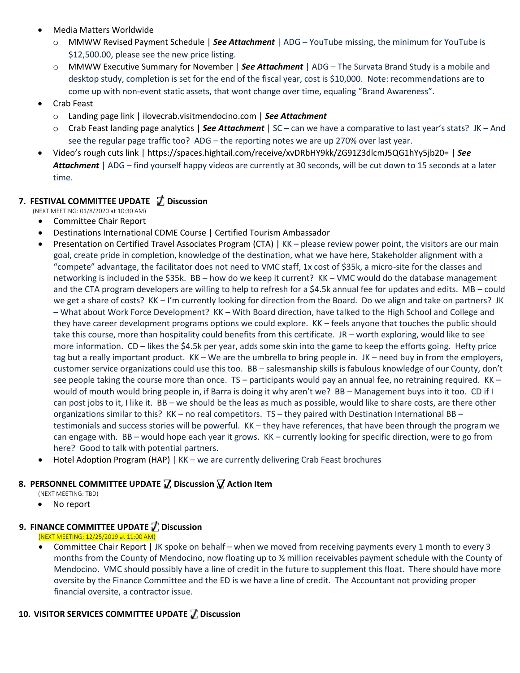- Media Matters Worldwide
	- o MMWW Revised Payment Schedule | *See Attachment* | ADG YouTube missing, the minimum for YouTube is \$12,500.00, please see the new price listing.
	- o MMWW Executive Summary for November | *See Attachment* | ADG The Survata Brand Study is a mobile and desktop study, completion is set for the end of the fiscal year, cost is \$10,000. Note: recommendations are to come up with non-event static assets, that wont change over time, equaling "Brand Awareness".
- Crab Feast
	- o Landing page link | ilovecrab.visitmendocino.com | *See Attachment*
	- o Crab Feast landing page analytics | *See Attachment* | SC can we have a comparative to last year's stats? JK And see the regular page traffic too? ADG – the reporting notes we are up 270% over last year.
- Video's rough cuts link | https://spaces.hightail.com/receive/xvDRbHY9kk/ZG91Z3dlcmJ5QG1hYy5jb20= | *See Attachment* | ADG – find yourself happy videos are currently at 30 seconds, will be cut down to 15 seconds at a later time.

# **7. FESTIVAL COMMITTEE UPDATE ꙱ Discussion**

(NEXT MEETING: 01/8/2020 at 10:30 AM)

- Committee Chair Report
- Destinations International CDME Course | Certified Tourism Ambassador
- Presentation on Certified Travel Associates Program (CTA) | KK please review power point, the visitors are our main goal, create pride in completion, knowledge of the destination, what we have here, Stakeholder alignment with a "compete" advantage, the facilitator does not need to VMC staff, 1x cost of \$35k, a micro-site for the classes and networking is included in the \$35k. BB – how do we keep it current? KK – VMC would do the database management and the CTA program developers are willing to help to refresh for a \$4.5k annual fee for updates and edits. MB – could we get a share of costs? KK – I'm currently looking for direction from the Board. Do we align and take on partners? JK – What about Work Force Development? KK – With Board direction, have talked to the High School and College and they have career development programs options we could explore. KK – feels anyone that touches the public should take this course, more than hospitality could benefits from this certificate. JR – worth exploring, would like to see more information. CD – likes the \$4.5k per year, adds some skin into the game to keep the efforts going. Hefty price tag but a really important product. KK – We are the umbrella to bring people in. JK – need buy in from the employers, customer service organizations could use this too. BB – salesmanship skills is fabulous knowledge of our County, don't see people taking the course more than once.  $TS$  – participants would pay an annual fee, no retraining required.  $KK$  – would of mouth would bring people in, if Barra is doing it why aren't we? BB – Management buys into it too. CD if I can post jobs to it, I like it. BB – we should be the leas as much as possible, would like to share costs, are there other organizations similar to this? KK – no real competitors. TS – they paired with Destination International BB – testimonials and success stories will be powerful. KK – they have references, that have been through the program we can engage with. BB – would hope each year it grows. KK – currently looking for specific direction, were to go from here? Good to talk with potential partners.
- Hotel Adoption Program (HAP) | KK we are currently delivering Crab Feast brochures

## **8. PERSONNEL COMMITTEE UPDATE ꙱ Discussion ꙱ Action Item**

(NEXT MEETING: TBD)

• No report

# **9. FINANCE COMMITTEE UPDATE ꙱ Discussion**

(NEXT MEETING: 12/25/2019 at 11:00 AM)

• Committee Chair Report | JK spoke on behalf – when we moved from receiving payments every 1 month to every 3 months from the County of Mendocino, now floating up to ½ million receivables payment schedule with the County of Mendocino. VMC should possibly have a line of credit in the future to supplement this float. There should have more oversite by the Finance Committee and the ED is we have a line of credit. The Accountant not providing proper financial oversite, a contractor issue.

## **10. VISITOR SERVICES COMMITTEE UPDATE** ꙱ **Discussion**